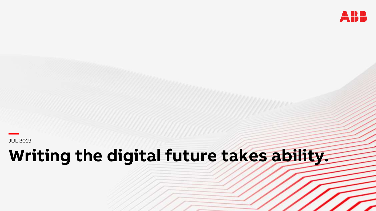

JUL 2019

# **Writing the digital future takes ability.**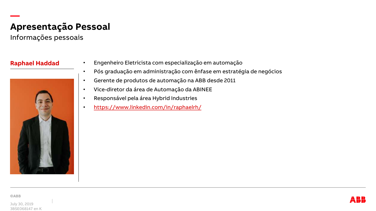# **Apresentação Pessoal**

Informações pessoais

**—**



- **Raphael Haddad** Engenheiro Eletricista com especialização em automação
	- Pós graduação em administração com ênfase em estratégia de negócios
	- Gerente de produtos de automação na ABB desde 2011
	- Vice-diretor da área de Automação da ABINEE
	- Responsável pela área Hybrid Industries
	- <https://www.linkedin.com/in/raphaelrh/>

July 30, 2019 3BSE068147 en K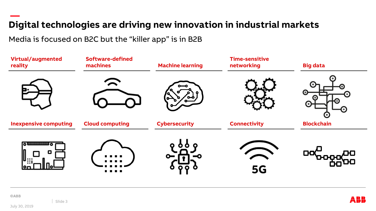#### **— Digital technologies are driving new innovation in industrial markets**

Media is focused on B2C but the "killer app" is in B2B



**©ABB** 

July 30, 2019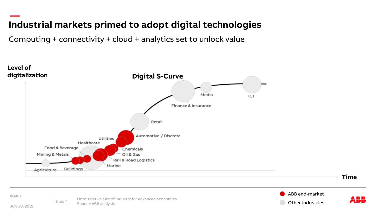#### **— Industrial markets primed to adopt digital technologies**

Computing + connectivity + cloud + analytics set to unlock value



**©ABB** 

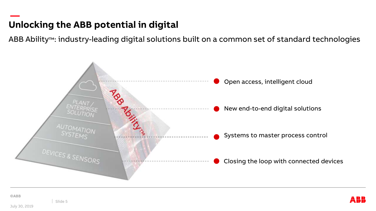#### **— Unlocking the ABB potential in digital**

ABB Ability™: industry-leading digital solutions built on a common set of standard technologies



Slide 5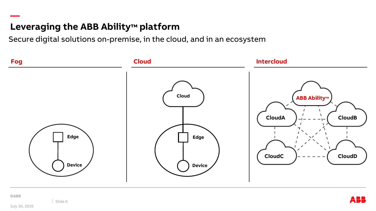## **Leveraging the ABB Ability™ platform**

Secure digital solutions on-premise, in the cloud, and in an ecosystem



**—**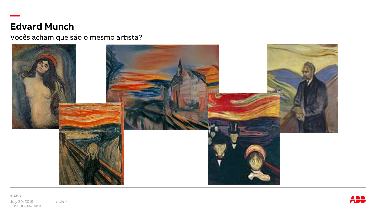### **Edvard Munch**

**—**

Vocês acham que são o mesmo artista?

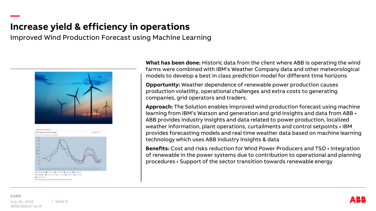### **Increase yield & efficiency in operations**

Improved Wind Production Forecast using Machine Learning





**What has been done:** Historic data from the client where ABB is operating the wind farms were combined with IBM's Weather Company data and other meteorological models to develop a best in class prediction model for different time horizons

**Opportunity:** Weather dependence of renewable power production causes production volatility, operational challenges and extra costs to generating companies, grid operators and traders.

**Approach:** The Solution enables improved wind production forecast using machine learning from IBM's Watson and generation and grid insights and data from ABB • ABB provides industry insights and data related to power production, localized weather information, plant operations, curtailments and control setpoints • IBM provides forecasting models and real time weather data based on machine learning technology which uses ABB industry insights & data

**Benefits:** Cost and risks reduction for Wind Power Producers and TSO • Integration of renewable in the power systems due to contribution to operational and planning procedures • Support of the sector transition towards renewable energy

**—**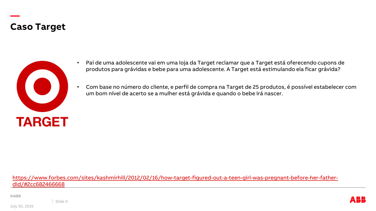#### **Caso Target**

**—**



- Pai de uma adolescente vai em uma loja da Target reclamar que a Target está oferecendo cupons de produtos para grávidas e bebe para uma adolescente. A Target está estimulando ela ficar grávida?
- Com base no número do cliente, e perfil de compra na Target de 25 produtos, é possível estabelecer com um bom nível de acerto se a mulher está grávida e quando o bebe irá nascer.

[https://www.forbes.com/sites/kashmirhill/2012/02/16/how-target-figured-out-a-teen-girl-was-pregnant-before-her-father](https://www.forbes.com/sites/kashmirhill/2012/02/16/how-target-figured-out-a-teen-girl-was-pregnant-before-her-father-did/#2cc682466668)did/#2cc682466668

**©ABB** 

Slide 9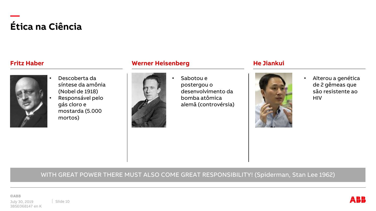### **— Ética na Ciência**



• Descoberta da síntese da amônia (Nobel de 1918) • Responsável pelo gás cloro e mostarda (5.000

mortos)

#### **Fritz Haber Werner Heisenberg He Jiankui**



• Sabotou e postergou o desenvolvimento da bomba atômica alemã (controvérsia)



• Alterou a genética de 2 gêmeas que são resistente ao **HIV** 

#### WITH GREAT POWER THERE MUST ALSO COME GREAT RESPONSIBILITY! (Spiderman, Stan Lee 1962)